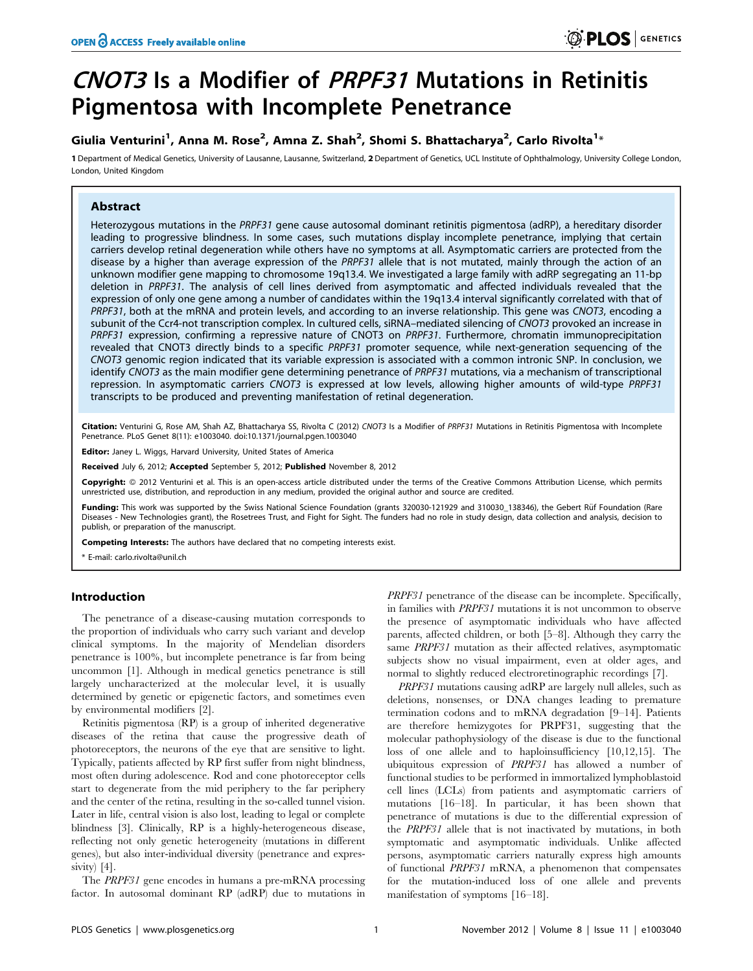# CNOT3 Is a Modifier of PRPF31 Mutations in Retinitis Pigmentosa with Incomplete Penetrance

## Giulia Venturini<sup>1</sup>, Anna M. Rose<sup>2</sup>, Amna Z. Shah<sup>2</sup>, Shomi S. Bhattacharya<sup>2</sup>, Carlo Rivolta<sup>1</sup>\*

1 Department of Medical Genetics, University of Lausanne, Lausanne, Switzerland, 2 Department of Genetics, UCL Institute of Ophthalmology, University College London, London, United Kingdom

## Abstract

Heterozygous mutations in the PRPF31 gene cause autosomal dominant retinitis pigmentosa (adRP), a hereditary disorder leading to progressive blindness. In some cases, such mutations display incomplete penetrance, implying that certain carriers develop retinal degeneration while others have no symptoms at all. Asymptomatic carriers are protected from the disease by a higher than average expression of the PRPF31 allele that is not mutated, mainly through the action of an unknown modifier gene mapping to chromosome 19q13.4. We investigated a large family with adRP segregating an 11-bp deletion in PRPF31. The analysis of cell lines derived from asymptomatic and affected individuals revealed that the expression of only one gene among a number of candidates within the 19q13.4 interval significantly correlated with that of PRPF31, both at the mRNA and protein levels, and according to an inverse relationship. This gene was CNOT3, encoding a subunit of the Ccr4-not transcription complex. In cultured cells, siRNA–mediated silencing of CNOT3 provoked an increase in PRPF31 expression, confirming a repressive nature of CNOT3 on PRPF31. Furthermore, chromatin immunoprecipitation revealed that CNOT3 directly binds to a specific PRPF31 promoter sequence, while next-generation sequencing of the CNOT3 genomic region indicated that its variable expression is associated with a common intronic SNP. In conclusion, we identify CNOT3 as the main modifier gene determining penetrance of PRPF31 mutations, via a mechanism of transcriptional repression. In asymptomatic carriers CNOT3 is expressed at low levels, allowing higher amounts of wild-type PRPF31 transcripts to be produced and preventing manifestation of retinal degeneration.

Citation: Venturini G, Rose AM, Shah AZ, Bhattacharya SS, Rivolta C (2012) CNOT3 Is a Modifier of PRPF31 Mutations in Retinitis Pigmentosa with Incomplete Penetrance. PLoS Genet 8(11): e1003040. doi:10.1371/journal.pgen.1003040

Editor: Janey L. Wiggs, Harvard University, United States of America

Received July 6, 2012; Accepted September 5, 2012; Published November 8, 2012

Copyright: © 2012 Venturini et al. This is an open-access article distributed under the terms of the Creative Commons Attribution License, which permits unrestricted use, distribution, and reproduction in any medium, provided the original author and source are credited.

Funding: This work was supported by the Swiss National Science Foundation (grants 320030-121929 and 310030\_138346), the Gebert Rüf Foundation (Rare Diseases - New Technologies grant), the Rosetrees Trust, and Fight for Sight. The funders had no role in study design, data collection and analysis, decision to publish, or preparation of the manuscript.

Competing Interests: The authors have declared that no competing interests exist.

\* E-mail: carlo.rivolta@unil.ch

## Introduction

The penetrance of a disease-causing mutation corresponds to the proportion of individuals who carry such variant and develop clinical symptoms. In the majority of Mendelian disorders penetrance is 100%, but incomplete penetrance is far from being uncommon [1]. Although in medical genetics penetrance is still largely uncharacterized at the molecular level, it is usually determined by genetic or epigenetic factors, and sometimes even by environmental modifiers [2].

Retinitis pigmentosa (RP) is a group of inherited degenerative diseases of the retina that cause the progressive death of photoreceptors, the neurons of the eye that are sensitive to light. Typically, patients affected by RP first suffer from night blindness, most often during adolescence. Rod and cone photoreceptor cells start to degenerate from the mid periphery to the far periphery and the center of the retina, resulting in the so-called tunnel vision. Later in life, central vision is also lost, leading to legal or complete blindness [3]. Clinically, RP is a highly-heterogeneous disease, reflecting not only genetic heterogeneity (mutations in different genes), but also inter-individual diversity (penetrance and expressivity) [4].

The PRPF31 gene encodes in humans a pre-mRNA processing factor. In autosomal dominant RP (adRP) due to mutations in

PRPF31 penetrance of the disease can be incomplete. Specifically, in families with PRPF31 mutations it is not uncommon to observe the presence of asymptomatic individuals who have affected parents, affected children, or both [5–8]. Although they carry the same PRPF31 mutation as their affected relatives, asymptomatic subjects show no visual impairment, even at older ages, and normal to slightly reduced electroretinographic recordings [7].

PRPF31 mutations causing adRP are largely null alleles, such as deletions, nonsenses, or DNA changes leading to premature termination codons and to mRNA degradation [9–14]. Patients are therefore hemizygotes for PRPF31, suggesting that the molecular pathophysiology of the disease is due to the functional loss of one allele and to haploinsufficiency [10,12,15]. The ubiquitous expression of PRPF31 has allowed a number of functional studies to be performed in immortalized lymphoblastoid cell lines (LCLs) from patients and asymptomatic carriers of mutations [16–18]. In particular, it has been shown that penetrance of mutations is due to the differential expression of the PRPF31 allele that is not inactivated by mutations, in both symptomatic and asymptomatic individuals. Unlike affected persons, asymptomatic carriers naturally express high amounts of functional PRPF31 mRNA, a phenomenon that compensates for the mutation-induced loss of one allele and prevents manifestation of symptoms [16–18].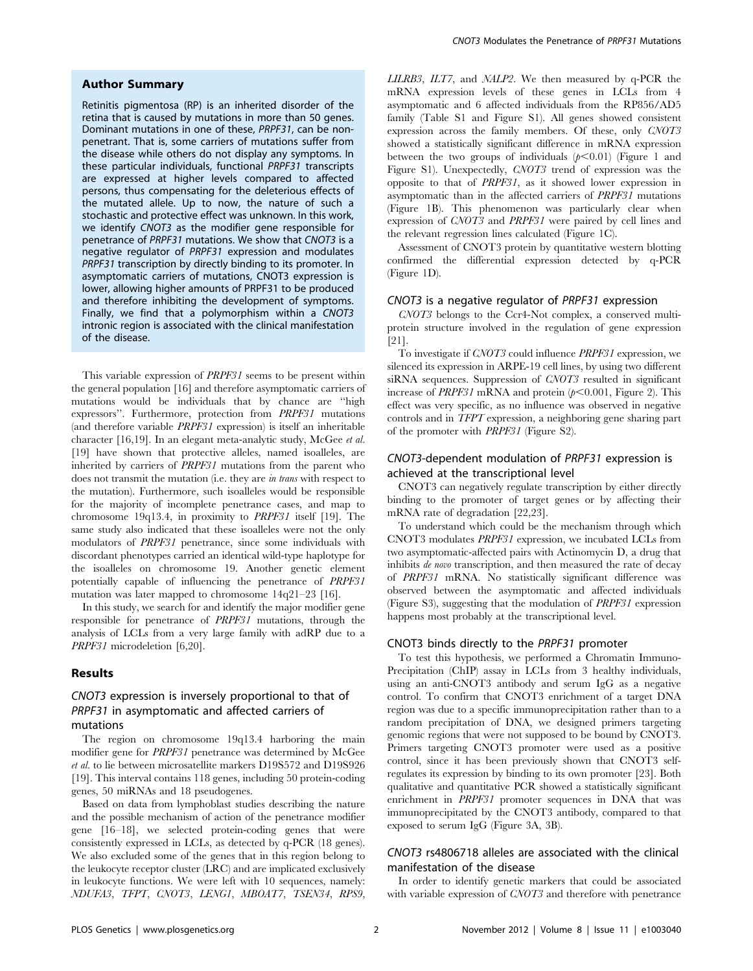## Author Summary

Retinitis pigmentosa (RP) is an inherited disorder of the retina that is caused by mutations in more than 50 genes. Dominant mutations in one of these, PRPF31, can be nonpenetrant. That is, some carriers of mutations suffer from the disease while others do not display any symptoms. In these particular individuals, functional PRPF31 transcripts are expressed at higher levels compared to affected persons, thus compensating for the deleterious effects of the mutated allele. Up to now, the nature of such a stochastic and protective effect was unknown. In this work, we identify CNOT3 as the modifier gene responsible for penetrance of PRPF31 mutations. We show that CNOT3 is a negative regulator of PRPF31 expression and modulates PRPF31 transcription by directly binding to its promoter. In asymptomatic carriers of mutations, CNOT3 expression is lower, allowing higher amounts of PRPF31 to be produced and therefore inhibiting the development of symptoms. Finally, we find that a polymorphism within a CNOT3 intronic region is associated with the clinical manifestation of the disease.

This variable expression of PRPF31 seems to be present within the general population [16] and therefore asymptomatic carriers of mutations would be individuals that by chance are ''high expressors''. Furthermore, protection from PRPF31 mutations (and therefore variable PRPF31 expression) is itself an inheritable character [16,19]. In an elegant meta-analytic study, McGee et al. [19] have shown that protective alleles, named isoalleles, are inherited by carriers of PRPF31 mutations from the parent who does not transmit the mutation (i.e. they are in trans with respect to the mutation). Furthermore, such isoalleles would be responsible for the majority of incomplete penetrance cases, and map to chromosome 19q13.4, in proximity to PRPF31 itself [19]. The same study also indicated that these isoalleles were not the only modulators of PRPF31 penetrance, since some individuals with discordant phenotypes carried an identical wild-type haplotype for the isoalleles on chromosome 19. Another genetic element potentially capable of influencing the penetrance of PRPF31 mutation was later mapped to chromosome 14q21–23 [16].

In this study, we search for and identify the major modifier gene responsible for penetrance of PRPF31 mutations, through the analysis of LCLs from a very large family with adRP due to a PRPF31 microdeletion [6,20].

### Results

## CNOT3 expression is inversely proportional to that of PRPF31 in asymptomatic and affected carriers of mutations

The region on chromosome 19q13.4 harboring the main modifier gene for PRPF31 penetrance was determined by McGee et al. to lie between microsatellite markers D19S572 and D19S926 [19]. This interval contains 118 genes, including 50 protein-coding genes, 50 miRNAs and 18 pseudogenes.

Based on data from lymphoblast studies describing the nature and the possible mechanism of action of the penetrance modifier gene [16–18], we selected protein-coding genes that were consistently expressed in LCLs, as detected by q-PCR (18 genes). We also excluded some of the genes that in this region belong to the leukocyte receptor cluster (LRC) and are implicated exclusively in leukocyte functions. We were left with 10 sequences, namely: NDUFA3, TFPT, CNOT3, LENG1, MBOAT7, TSEN34, RPS9, LILRB3, ILT7, and NALP2. We then measured by q-PCR the mRNA expression levels of these genes in LCLs from 4 asymptomatic and 6 affected individuals from the RP856/AD5 family (Table S1 and Figure S1). All genes showed consistent expression across the family members. Of these, only CNOT3 showed a statistically significant difference in mRNA expression between the two groups of individuals  $(p<0.01)$  (Figure 1 and Figure S1). Unexpectedly, CNOT3 trend of expression was the opposite to that of PRPF31, as it showed lower expression in asymptomatic than in the affected carriers of PRPF31 mutations (Figure 1B). This phenomenon was particularly clear when expression of CNOT3 and PRPF31 were paired by cell lines and the relevant regression lines calculated (Figure 1C).

Assessment of CNOT3 protein by quantitative western blotting confirmed the differential expression detected by q-PCR (Figure 1D).

## CNOT3 is a negative regulator of PRPF31 expression

CNOT3 belongs to the Ccr4-Not complex, a conserved multiprotein structure involved in the regulation of gene expression [21].

To investigate if CNOT3 could influence PRPF31 expression, we silenced its expression in ARPE-19 cell lines, by using two different siRNA sequences. Suppression of CNOT3 resulted in significant increase of PRPF31 mRNA and protein  $(p<0.001$ , Figure 2). This effect was very specific, as no influence was observed in negative controls and in TFPT expression, a neighboring gene sharing part of the promoter with PRPF31 (Figure S2).

## CNOT3-dependent modulation of PRPF31 expression is achieved at the transcriptional level

CNOT3 can negatively regulate transcription by either directly binding to the promoter of target genes or by affecting their mRNA rate of degradation [22,23].

To understand which could be the mechanism through which CNOT3 modulates PRPF31 expression, we incubated LCLs from two asymptomatic-affected pairs with Actinomycin D, a drug that inhibits de novo transcription, and then measured the rate of decay of PRPF31 mRNA. No statistically significant difference was observed between the asymptomatic and affected individuals (Figure S3), suggesting that the modulation of PRPF31 expression happens most probably at the transcriptional level.

## CNOT3 binds directly to the PRPF31 promoter

To test this hypothesis, we performed a Chromatin Immuno-Precipitation (ChIP) assay in LCLs from 3 healthy individuals, using an anti-CNOT3 antibody and serum IgG as a negative control. To confirm that CNOT3 enrichment of a target DNA region was due to a specific immunoprecipitation rather than to a random precipitation of DNA, we designed primers targeting genomic regions that were not supposed to be bound by CNOT3. Primers targeting CNOT3 promoter were used as a positive control, since it has been previously shown that CNOT3 selfregulates its expression by binding to its own promoter [23]. Both qualitative and quantitative PCR showed a statistically significant enrichment in PRPF31 promoter sequences in DNA that was immunoprecipitated by the CNOT3 antibody, compared to that exposed to serum IgG (Figure 3A, 3B).

## CNOT3 rs4806718 alleles are associated with the clinical manifestation of the disease

In order to identify genetic markers that could be associated with variable expression of CNOT3 and therefore with penetrance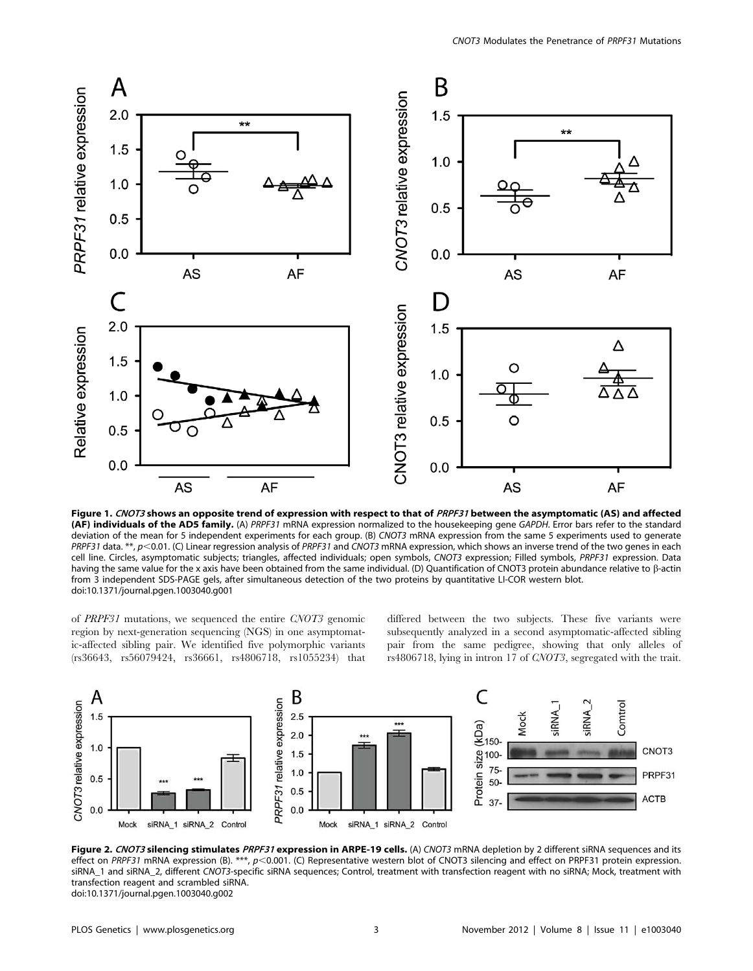

Figure 1. CNOT3 shows an opposite trend of expression with respect to that of PRPF31 between the asymptomatic (AS) and affected (AF) individuals of the AD5 family. (A) PRPF31 mRNA expression normalized to the housekeeping gene GAPDH. Error bars refer to the standard deviation of the mean for 5 independent experiments for each group. (B) CNOT3 mRNA expression from the same 5 experiments used to generate PRPF31 data. \*\*, p<0.01. (C) Linear regression analysis of PRPF31 and CNOT3 mRNA expression, which shows an inverse trend of the two genes in each cell line. Circles, asymptomatic subjects; triangles, affected individuals; open symbols, CNOT3 expression; Filled symbols, PRPF31 expression. Data having the same value for the x axis have been obtained from the same individual. (D) Quantification of CNOT3 protein abundance relative to  $\beta$ -actin from 3 independent SDS-PAGE gels, after simultaneous detection of the two proteins by quantitative LI-COR western blot. doi:10.1371/journal.pgen.1003040.g001

of PRPF31 mutations, we sequenced the entire CNOT3 genomic region by next-generation sequencing (NGS) in one asymptomatic-affected sibling pair. We identified five polymorphic variants (rs36643, rs56079424, rs36661, rs4806718, rs1055234) that differed between the two subjects. These five variants were subsequently analyzed in a second asymptomatic-affected sibling pair from the same pedigree, showing that only alleles of rs4806718, lying in intron 17 of CNOT3, segregated with the trait.



Figure 2. CNOT3 silencing stimulates PRPF31 expression in ARPE-19 cells. (A) CNOT3 mRNA depletion by 2 different siRNA sequences and its effect on PRPF31 mRNA expression (B). \*\*\*, p<0.001. (C) Representative western blot of CNOT3 silencing and effect on PRPF31 protein expression. siRNA\_1 and siRNA\_2, different CNOT3-specific siRNA sequences; Control, treatment with transfection reagent with no siRNA; Mock, treatment with transfection reagent and scrambled siRNA. doi:10.1371/journal.pgen.1003040.g002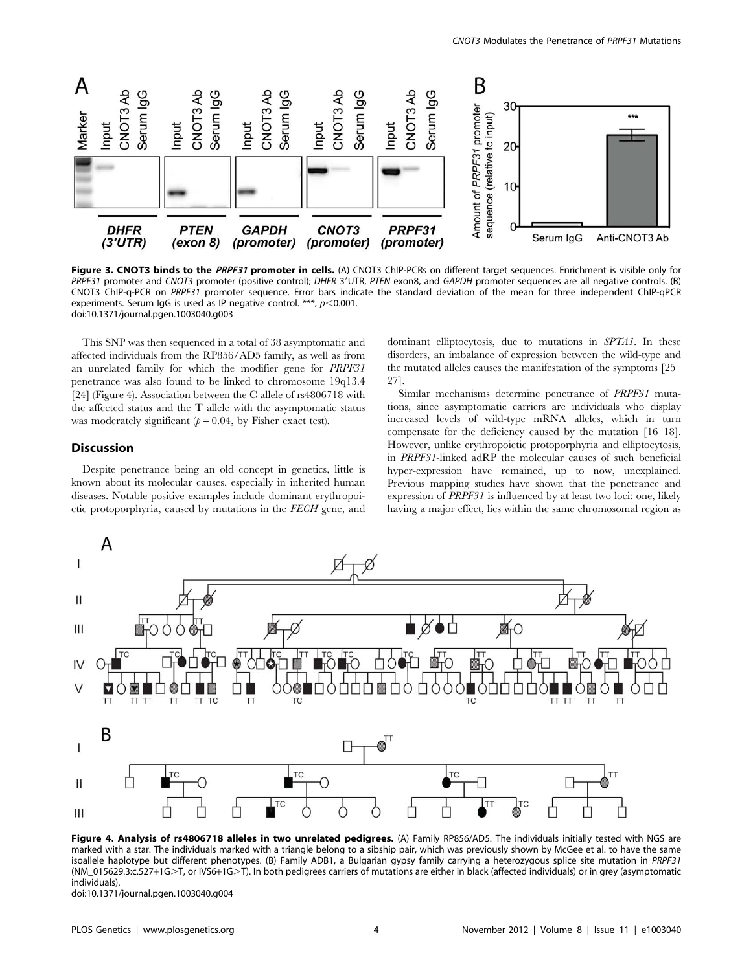

Figure 3. CNOT3 binds to the PRPF31 promoter in cells. (A) CNOT3 ChIP-PCRs on different target sequences. Enrichment is visible only for PRPF31 promoter and CNOT3 promoter (positive control); DHFR 3'UTR, PTEN exon8, and GAPDH promoter sequences are all negative controls. (B) CNOT3 ChIP-q-PCR on PRPF31 promoter sequence. Error bars indicate the standard deviation of the mean for three independent ChIP-qPCR experiments. Serum IgG is used as IP negative control. \*\*\*,  $p<0.001$ . doi:10.1371/journal.pgen.1003040.g003

This SNP was then sequenced in a total of 38 asymptomatic and affected individuals from the RP856/AD5 family, as well as from an unrelated family for which the modifier gene for PRPF31 penetrance was also found to be linked to chromosome 19q13.4 [24] (Figure 4). Association between the C allele of rs4806718 with the affected status and the T allele with the asymptomatic status was moderately significant ( $p = 0.04$ , by Fisher exact test).

## Discussion

Despite penetrance being an old concept in genetics, little is known about its molecular causes, especially in inherited human diseases. Notable positive examples include dominant erythropoietic protoporphyria, caused by mutations in the FECH gene, and dominant elliptocytosis, due to mutations in SPTA1. In these disorders, an imbalance of expression between the wild-type and the mutated alleles causes the manifestation of the symptoms [25– 27].

Similar mechanisms determine penetrance of PRPF31 mutations, since asymptomatic carriers are individuals who display increased levels of wild-type mRNA alleles, which in turn compensate for the deficiency caused by the mutation [16–18]. However, unlike erythropoietic protoporphyria and elliptocytosis, in PRPF31-linked adRP the molecular causes of such beneficial hyper-expression have remained, up to now, unexplained. Previous mapping studies have shown that the penetrance and expression of PRPF31 is influenced by at least two loci: one, likely having a major effect, lies within the same chromosomal region as



Figure 4. Analysis of rs4806718 alleles in two unrelated pedigrees. (A) Family RP856/AD5. The individuals initially tested with NGS are marked with a star. The individuals marked with a triangle belong to a sibship pair, which was previously shown by McGee et al. to have the same isoallele haplotype but different phenotypes. (B) Family ADB1, a Bulgarian gypsy family carrying a heterozygous splice site mutation in PRPF31 (NM\_015629.3:c.527+1G>T, or IVS6+1G>T). In both pedigrees carriers of mutations are either in black (affected individuals) or in grey (asymptomatic individuals).

doi:10.1371/journal.pgen.1003040.g004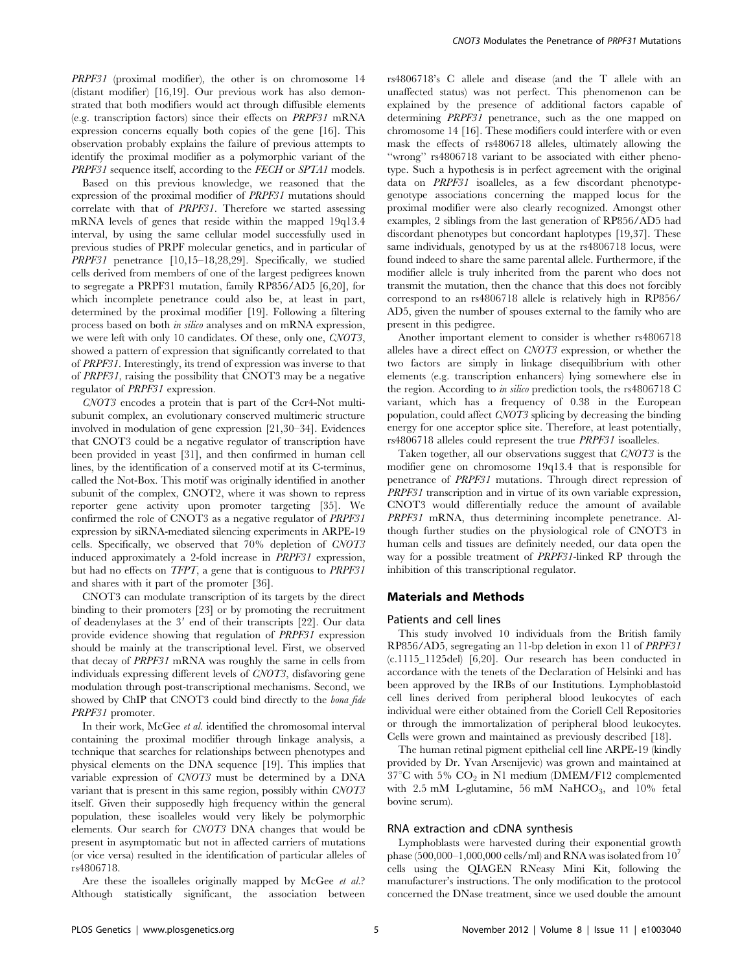PRPF31 (proximal modifier), the other is on chromosome 14 (distant modifier) [16,19]. Our previous work has also demonstrated that both modifiers would act through diffusible elements (e.g. transcription factors) since their effects on PRPF31 mRNA expression concerns equally both copies of the gene [16]. This observation probably explains the failure of previous attempts to identify the proximal modifier as a polymorphic variant of the PRPF31 sequence itself, according to the FECH or SPTA1 models.

Based on this previous knowledge, we reasoned that the expression of the proximal modifier of PRPF31 mutations should correlate with that of PRPF31. Therefore we started assessing mRNA levels of genes that reside within the mapped 19q13.4 interval, by using the same cellular model successfully used in previous studies of PRPF molecular genetics, and in particular of PRPF31 penetrance [10,15–18,28,29]. Specifically, we studied cells derived from members of one of the largest pedigrees known to segregate a PRPF31 mutation, family RP856/AD5 [6,20], for which incomplete penetrance could also be, at least in part, determined by the proximal modifier [19]. Following a filtering process based on both in silico analyses and on mRNA expression, we were left with only 10 candidates. Of these, only one, CNOT3, showed a pattern of expression that significantly correlated to that of PRPF31. Interestingly, its trend of expression was inverse to that of PRPF31, raising the possibility that CNOT3 may be a negative regulator of PRPF31 expression.

CNOT3 encodes a protein that is part of the Ccr4-Not multisubunit complex, an evolutionary conserved multimeric structure involved in modulation of gene expression [21,30–34]. Evidences that CNOT3 could be a negative regulator of transcription have been provided in yeast [31], and then confirmed in human cell lines, by the identification of a conserved motif at its C-terminus, called the Not-Box. This motif was originally identified in another subunit of the complex, CNOT2, where it was shown to repress reporter gene activity upon promoter targeting [35]. We confirmed the role of CNOT3 as a negative regulator of PRPF31 expression by siRNA-mediated silencing experiments in ARPE-19 cells. Specifically, we observed that 70% depletion of CNOT3 induced approximately a 2-fold increase in PRPF31 expression, but had no effects on TFPT, a gene that is contiguous to PRPF31 and shares with it part of the promoter [36].

CNOT3 can modulate transcription of its targets by the direct binding to their promoters [23] or by promoting the recruitment of deadenylases at the 3' end of their transcripts [22]. Our data provide evidence showing that regulation of PRPF31 expression should be mainly at the transcriptional level. First, we observed that decay of PRPF31 mRNA was roughly the same in cells from individuals expressing different levels of CNOT3, disfavoring gene modulation through post-transcriptional mechanisms. Second, we showed by ChIP that CNOT3 could bind directly to the bona fide PRPF31 promoter.

In their work, McGee et al. identified the chromosomal interval containing the proximal modifier through linkage analysis, a technique that searches for relationships between phenotypes and physical elements on the DNA sequence [19]. This implies that variable expression of CNOT3 must be determined by a DNA variant that is present in this same region, possibly within CNOT3 itself. Given their supposedly high frequency within the general population, these isoalleles would very likely be polymorphic elements. Our search for CNOT3 DNA changes that would be present in asymptomatic but not in affected carriers of mutations (or vice versa) resulted in the identification of particular alleles of rs4806718.

Are these the isoalleles originally mapped by McGee et al.? Although statistically significant, the association between rs4806718's C allele and disease (and the T allele with an unaffected status) was not perfect. This phenomenon can be explained by the presence of additional factors capable of determining PRPF31 penetrance, such as the one mapped on chromosome 14 [16]. These modifiers could interfere with or even mask the effects of rs4806718 alleles, ultimately allowing the "wrong" rs4806718 variant to be associated with either phenotype. Such a hypothesis is in perfect agreement with the original data on PRPF31 isoalleles, as a few discordant phenotypegenotype associations concerning the mapped locus for the proximal modifier were also clearly recognized. Amongst other examples, 2 siblings from the last generation of RP856/AD5 had discordant phenotypes but concordant haplotypes [19,37]. These same individuals, genotyped by us at the rs4806718 locus, were found indeed to share the same parental allele. Furthermore, if the modifier allele is truly inherited from the parent who does not transmit the mutation, then the chance that this does not forcibly correspond to an rs4806718 allele is relatively high in RP856/ AD5, given the number of spouses external to the family who are present in this pedigree.

Another important element to consider is whether rs4806718 alleles have a direct effect on CNOT3 expression, or whether the two factors are simply in linkage disequilibrium with other elements (e.g. transcription enhancers) lying somewhere else in the region. According to in silico prediction tools, the rs4806718 C variant, which has a frequency of 0.38 in the European population, could affect CNOT3 splicing by decreasing the binding energy for one acceptor splice site. Therefore, at least potentially, rs4806718 alleles could represent the true PRPF31 isoalleles.

Taken together, all our observations suggest that CNOT3 is the modifier gene on chromosome 19q13.4 that is responsible for penetrance of PRPF31 mutations. Through direct repression of PRPF31 transcription and in virtue of its own variable expression, CNOT3 would differentially reduce the amount of available PRPF31 mRNA, thus determining incomplete penetrance. Although further studies on the physiological role of CNOT3 in human cells and tissues are definitely needed, our data open the way for a possible treatment of PRPF31-linked RP through the inhibition of this transcriptional regulator.

#### Materials and Methods

#### Patients and cell lines

This study involved 10 individuals from the British family RP856/AD5, segregating an 11-bp deletion in exon 11 of PRPF31 (c.1115\_1125del) [6,20]. Our research has been conducted in accordance with the tenets of the Declaration of Helsinki and has been approved by the IRBs of our Institutions. Lymphoblastoid cell lines derived from peripheral blood leukocytes of each individual were either obtained from the Coriell Cell Repositories or through the immortalization of peripheral blood leukocytes. Cells were grown and maintained as previously described [18].

The human retinal pigment epithelial cell line ARPE-19 (kindly provided by Dr. Yvan Arsenijevic) was grown and maintained at  $37^{\circ}$ C with 5%  $CO_2$  in N1 medium (DMEM/F12 complemented with  $2.5 \text{ mM}$  L-glutamine,  $56 \text{ mM}$  NaHCO<sub>3</sub>, and  $10\%$  fetal bovine serum).

#### RNA extraction and cDNA synthesis

Lymphoblasts were harvested during their exponential growth phase (500,000–1,000,000 cells/ml) and RNA was isolated from  $10<sup>7</sup>$ cells using the QIAGEN RNeasy Mini Kit, following the manufacturer's instructions. The only modification to the protocol concerned the DNase treatment, since we used double the amount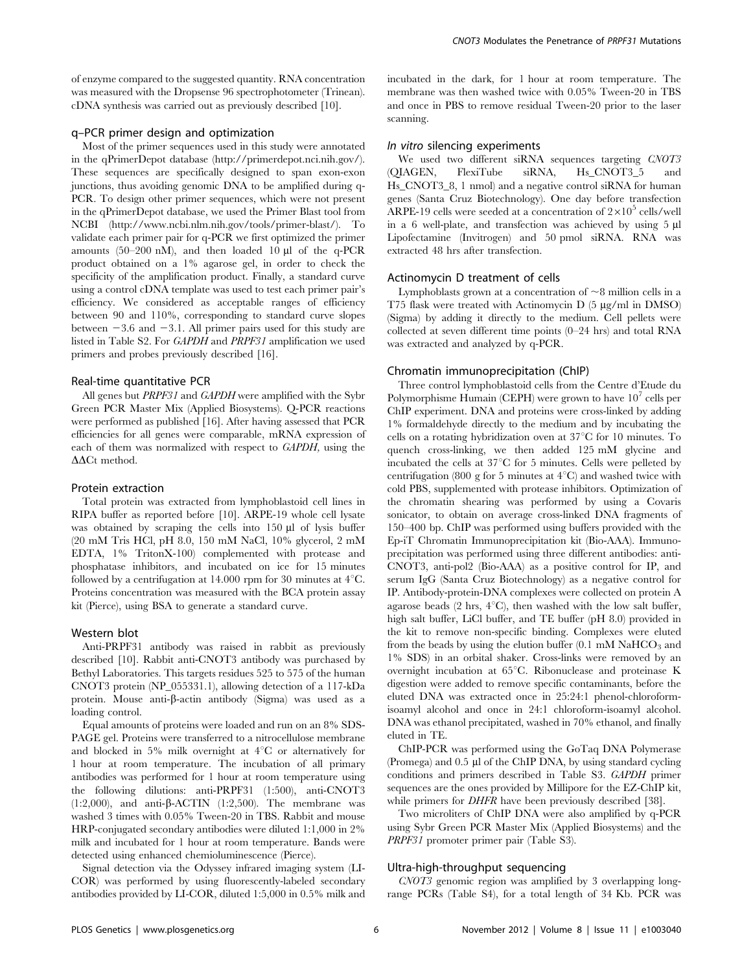of enzyme compared to the suggested quantity. RNA concentration was measured with the Dropsense 96 spectrophotometer (Trinean). cDNA synthesis was carried out as previously described [10].

## q–PCR primer design and optimization

Most of the primer sequences used in this study were annotated in the qPrimerDepot database (http://primerdepot.nci.nih.gov/). These sequences are specifically designed to span exon-exon junctions, thus avoiding genomic DNA to be amplified during q-PCR. To design other primer sequences, which were not present in the qPrimerDepot database, we used the Primer Blast tool from NCBI (http://www.ncbi.nlm.nih.gov/tools/primer-blast/). To validate each primer pair for q-PCR we first optimized the primer amounts (50–200 nM), and then loaded 10  $\mu$ l of the q-PCR product obtained on a 1% agarose gel, in order to check the specificity of the amplification product. Finally, a standard curve using a control cDNA template was used to test each primer pair's efficiency. We considered as acceptable ranges of efficiency between 90 and 110%, corresponding to standard curve slopes between  $-3.6$  and  $-3.1$ . All primer pairs used for this study are listed in Table S2. For GAPDH and PRPF31 amplification we used primers and probes previously described [16].

## Real-time quantitative PCR

All genes but PRPF31 and GAPDH were amplified with the Sybr Green PCR Master Mix (Applied Biosystems). Q-PCR reactions were performed as published [16]. After having assessed that PCR efficiencies for all genes were comparable, mRNA expression of each of them was normalized with respect to GAPDH, using the AACt method.

## Protein extraction

Total protein was extracted from lymphoblastoid cell lines in RIPA buffer as reported before [10]. ARPE-19 whole cell lysate was obtained by scraping the cells into 150 µl of lysis buffer (20 mM Tris HCl, pH 8.0, 150 mM NaCl, 10% glycerol, 2 mM EDTA, 1% TritonX-100) complemented with protease and phosphatase inhibitors, and incubated on ice for 15 minutes followed by a centrifugation at 14.000 rpm for 30 minutes at  $4^{\circ}$ C. Proteins concentration was measured with the BCA protein assay kit (Pierce), using BSA to generate a standard curve.

#### Western blot

Anti-PRPF31 antibody was raised in rabbit as previously described [10]. Rabbit anti-CNOT3 antibody was purchased by Bethyl Laboratories. This targets residues 525 to 575 of the human CNOT3 protein (NP\_055331.1), allowing detection of a 117-kDa protein. Mouse anti- $\beta$ -actin antibody (Sigma) was used as a loading control.

Equal amounts of proteins were loaded and run on an 8% SDS-PAGE gel. Proteins were transferred to a nitrocellulose membrane and blocked in 5% milk overnight at  $4^{\circ}$ C or alternatively for 1 hour at room temperature. The incubation of all primary antibodies was performed for 1 hour at room temperature using the following dilutions: anti-PRPF31 (1:500), anti-CNOT3 (1:2,000), and anti- $\beta$ -ACTIN (1:2,500). The membrane was washed 3 times with 0.05% Tween-20 in TBS. Rabbit and mouse HRP-conjugated secondary antibodies were diluted 1:1,000 in 2% milk and incubated for 1 hour at room temperature. Bands were detected using enhanced chemioluminescence (Pierce).

Signal detection via the Odyssey infrared imaging system (LI-COR) was performed by using fluorescently-labeled secondary antibodies provided by LI-COR, diluted 1:5,000 in 0.5% milk and incubated in the dark, for 1 hour at room temperature. The membrane was then washed twice with 0.05% Tween-20 in TBS and once in PBS to remove residual Tween-20 prior to the laser scanning.

## In vitro silencing experiments

We used two different siRNA sequences targeting *CNOT3*<br>DIAGEN, FlexiTube siRNA, Hs CNOT3 5 and (QIAGEN, FlexiTube siRNA, Hs\_CNOT3\_5 and Hs\_CNOT3\_8, 1 nmol) and a negative control siRNA for human genes (Santa Cruz Biotechnology). One day before transfection ARPE-19 cells were seeded at a concentration of  $2\times10^5$  cells/well in a  $6$  well-plate, and transfection was achieved by using  $5 \mu l$ Lipofectamine (Invitrogen) and 50 pmol siRNA. RNA was extracted 48 hrs after transfection.

#### Actinomycin D treatment of cells

Lymphoblasts grown at a concentration of  $\sim$ 8 million cells in a T75 flask were treated with Actinomycin D  $(5 \mu g/ml \text{ in } DMSO)$ (Sigma) by adding it directly to the medium. Cell pellets were collected at seven different time points (0–24 hrs) and total RNA was extracted and analyzed by q-PCR.

#### Chromatin immunoprecipitation (ChIP)

Three control lymphoblastoid cells from the Centre d'Etude du Polymorphisme Humain (CEPH) were grown to have  $10^7$  cells per ChIP experiment. DNA and proteins were cross-linked by adding 1% formaldehyde directly to the medium and by incubating the cells on a rotating hybridization oven at  $37^{\circ}$ C for 10 minutes. To quench cross-linking, we then added 125 mM glycine and incubated the cells at  $37^{\circ}$ C for 5 minutes. Cells were pelleted by centrifugation (800 g for 5 minutes at  $4^{\circ}$ C) and washed twice with cold PBS, supplemented with protease inhibitors. Optimization of the chromatin shearing was performed by using a Covaris sonicator, to obtain on average cross-linked DNA fragments of 150–400 bp. ChIP was performed using buffers provided with the Ep-iT Chromatin Immunoprecipitation kit (Bio-AAA). Immunoprecipitation was performed using three different antibodies: anti-CNOT3, anti-pol2 (Bio-AAA) as a positive control for IP, and serum IgG (Santa Cruz Biotechnology) as a negative control for IP. Antibody-protein-DNA complexes were collected on protein A agarose beads (2 hrs,  $4^{\circ}$ C), then washed with the low salt buffer, high salt buffer, LiCl buffer, and TE buffer (pH 8.0) provided in the kit to remove non-specific binding. Complexes were eluted from the beads by using the elution buffer  $(0.1 \text{ mM } N\text{aHCO}_3)$  and 1% SDS) in an orbital shaker. Cross-links were removed by an overnight incubation at  $65^{\circ}$ C. Ribonuclease and proteinase K digestion were added to remove specific contaminants, before the eluted DNA was extracted once in 25:24:1 phenol-chloroformisoamyl alcohol and once in 24:1 chloroform-isoamyl alcohol. DNA was ethanol precipitated, washed in 70% ethanol, and finally eluted in TE.

ChIP-PCR was performed using the GoTaq DNA Polymerase (Promega) and 0.5 µl of the ChIP DNA, by using standard cycling conditions and primers described in Table S3. GAPDH primer sequences are the ones provided by Millipore for the EZ-ChIP kit, while primers for *DHFR* have been previously described [38].

Two microliters of ChIP DNA were also amplified by q-PCR using Sybr Green PCR Master Mix (Applied Biosystems) and the PRPF31 promoter primer pair (Table S3).

## Ultra-high-throughput sequencing

CNOT3 genomic region was amplified by 3 overlapping longrange PCRs (Table S4), for a total length of 34 Kb. PCR was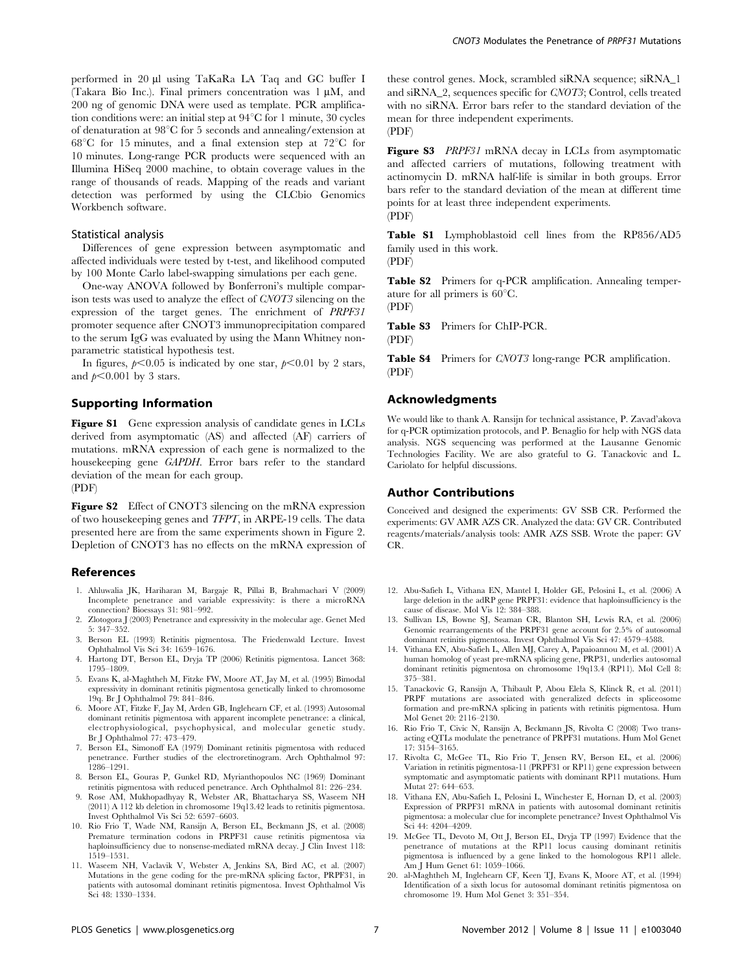performed in 20 µl using TaKaRa LA Taq and GC buffer I (Takara Bio Inc.). Final primers concentration was  $1 \mu M$ , and 200 ng of genomic DNA were used as template. PCR amplification conditions were: an initial step at  $94^{\circ}$ C for 1 minute, 30 cycles of denaturation at  $98^{\circ}$ C for 5 seconds and annealing/extension at  $68^{\circ}$ C for 15 minutes, and a final extension step at  $72^{\circ}$ C for 10 minutes. Long-range PCR products were sequenced with an Illumina HiSeq 2000 machine, to obtain coverage values in the range of thousands of reads. Mapping of the reads and variant detection was performed by using the CLCbio Genomics Workbench software.

#### Statistical analysis

Differences of gene expression between asymptomatic and affected individuals were tested by t-test, and likelihood computed by 100 Monte Carlo label-swapping simulations per each gene.

One-way ANOVA followed by Bonferroni's multiple comparison tests was used to analyze the effect of CNOT3 silencing on the expression of the target genes. The enrichment of PRPF31 promoter sequence after CNOT3 immunoprecipitation compared to the serum IgG was evaluated by using the Mann Whitney nonparametric statistical hypothesis test.

In figures,  $p<0.05$  is indicated by one star,  $p<0.01$  by 2 stars, and  $p<0.001$  by 3 stars.

## Supporting Information

Figure S1 Gene expression analysis of candidate genes in LCLs derived from asymptomatic (AS) and affected (AF) carriers of mutations. mRNA expression of each gene is normalized to the housekeeping gene GAPDH. Error bars refer to the standard deviation of the mean for each group. (PDF)

Figure S2 Effect of CNOT3 silencing on the mRNA expression of two housekeeping genes and TFPT, in ARPE-19 cells. The data presented here are from the same experiments shown in Figure 2. Depletion of CNOT3 has no effects on the mRNA expression of

#### References

- 1. Ahluwalia JK, Hariharan M, Bargaje R, Pillai B, Brahmachari V (2009) Incomplete penetrance and variable expressivity: is there a microRNA connection? Bioessays 31: 981–992.
- 2. Zlotogora J (2003) Penetrance and expressivity in the molecular age. Genet Med 5: 347–352.
- 3. Berson EL (1993) Retinitis pigmentosa. The Friedenwald Lecture. Invest Ophthalmol Vis Sci 34: 1659–1676.
- 4. Hartong DT, Berson EL, Dryja TP (2006) Retinitis pigmentosa. Lancet 368: 1795–1809.
- 5. Evans K, al-Maghtheh M, Fitzke FW, Moore AT, Jay M, et al. (1995) Bimodal expressivity in dominant retinitis pigmentosa genetically linked to chromosome 19q. Br J Ophthalmol 79: 841–846.
- 6. Moore AT, Fitzke F, Jay M, Arden GB, Inglehearn CF, et al. (1993) Autosomal dominant retinitis pigmentosa with apparent incomplete penetrance: a clinical, electrophysiological, psychophysical, and molecular genetic study. Br J Ophthalmol 77: 473–479.
- 7. Berson EL, Simonoff EA (1979) Dominant retinitis pigmentosa with reduced penetrance. Further studies of the electroretinogram. Arch Ophthalmol 97: 1286–1291.
- 8. Berson EL, Gouras P, Gunkel RD, Myrianthopoulos NC (1969) Dominant retinitis pigmentosa with reduced penetrance. Arch Ophthalmol 81: 226–234.
- 9. Rose AM, Mukhopadhyay R, Webster AR, Bhattacharya SS, Waseem NH (2011) A 112 kb deletion in chromosome 19q13.42 leads to retinitis pigmentosa. Invest Ophthalmol Vis Sci 52: 6597–6603.
- 10. Rio Frio T, Wade NM, Ransijn A, Berson EL, Beckmann JS, et al. (2008) Premature termination codons in PRPF31 cause retinitis pigmentosa via haploinsufficiency due to nonsense-mediated mRNA decay. J Clin Invest 118: 1519–1531.
- 11. Waseem NH, Vaclavik V, Webster A, Jenkins SA, Bird AC, et al. (2007) Mutations in the gene coding for the pre-mRNA splicing factor, PRPF31, in patients with autosomal dominant retinitis pigmentosa. Invest Ophthalmol Vis Sci 48: 1330–1334.

these control genes. Mock, scrambled siRNA sequence; siRNA\_1 and siRNA\_2, sequences specific for CNOT3; Control, cells treated with no siRNA. Error bars refer to the standard deviation of the mean for three independent experiments. (PDF)

Figure S3 *PRPF31* mRNA decay in LCLs from asymptomatic and affected carriers of mutations, following treatment with actinomycin D. mRNA half-life is similar in both groups. Error bars refer to the standard deviation of the mean at different time points for at least three independent experiments. (PDF)

Table S1 Lymphoblastoid cell lines from the RP856/AD5 family used in this work. (PDF)

Table S2 Primers for q-PCR amplification. Annealing temperature for all primers is  $60^{\circ}$ C. (PDF)

Table S3 Primers for ChIP-PCR.

(PDF)

Table S4 Primers for CNOT3 long-range PCR amplification. (PDF)

## Acknowledgments

We would like to thank A. Ransijn for technical assistance, P. Zavad'akova for q-PCR optimization protocols, and P. Benaglio for help with NGS data analysis. NGS sequencing was performed at the Lausanne Genomic Technologies Facility. We are also grateful to G. Tanackovic and L. Cariolato for helpful discussions.

#### Author Contributions

Conceived and designed the experiments: GV SSB CR. Performed the experiments: GV AMR AZS CR. Analyzed the data: GV CR. Contributed reagents/materials/analysis tools: AMR AZS SSB. Wrote the paper: GV CR.

- 12. Abu-Safieh L, Vithana EN, Mantel I, Holder GE, Pelosini L, et al. (2006) A large deletion in the adRP gene PRPF31: evidence that haploinsufficiency is the cause of disease. Mol Vis 12: 384–388.
- 13. Sullivan LS, Bowne SJ, Seaman CR, Blanton SH, Lewis RA, et al. (2006) Genomic rearrangements of the PRPF31 gene account for 2.5% of autosomal dominant retinitis pigmentosa. Invest Ophthalmol Vis Sci 47: 4579–4588.
- 14. Vithana EN, Abu-Safieh L, Allen MJ, Carey A, Papaioannou M, et al. (2001) A human homolog of yeast pre-mRNA splicing gene, PRP31, underlies autosomal dominant retinitis pigmentosa on chromosome 19q13.4 (RP11). Mol Cell 8: 375–381.
- 15. Tanackovic G, Ransijn A, Thibault P, Abou Elela S, Klinck R, et al. (2011) PRPF mutations are associated with generalized defects in spliceosome formation and pre-mRNA splicing in patients with retinitis pigmentosa. Hum Mol Genet 20: 2116–2130.
- 16. Rio Frio T, Civic N, Ransijn A, Beckmann JS, Rivolta C (2008) Two transacting eQTLs modulate the penetrance of PRPF31 mutations. Hum Mol Genet 17: 3154–3165.
- 17. Rivolta C, McGee TL, Rio Frio T, Jensen RV, Berson EL, et al. (2006) Variation in retinitis pigmentosa-11 (PRPF31 or RP11) gene expression between symptomatic and asymptomatic patients with dominant RP11 mutations. Hum Mutat 27: 644–653.
- 18. Vithana EN, Abu-Safieh L, Pelosini L, Winchester E, Hornan D, et al. (2003) Expression of PRPF31 mRNA in patients with autosomal dominant retinitis pigmentosa: a molecular clue for incomplete penetrance? Invest Ophthalmol Vis Sci 44: 4204–4209.
- 19. McGee TL, Devoto M, Ott J, Berson EL, Dryja TP (1997) Evidence that the penetrance of mutations at the RP11 locus causing dominant retinitis pigmentosa is influenced by a gene linked to the homologous RP11 allele. Am J Hum Genet 61: 1059–1066.
- 20. al-Maghtheh M, Inglehearn CF, Keen TJ, Evans K, Moore AT, et al. (1994) Identification of a sixth locus for autosomal dominant retinitis pigmentosa on chromosome 19. Hum Mol Genet 3: 351–354.